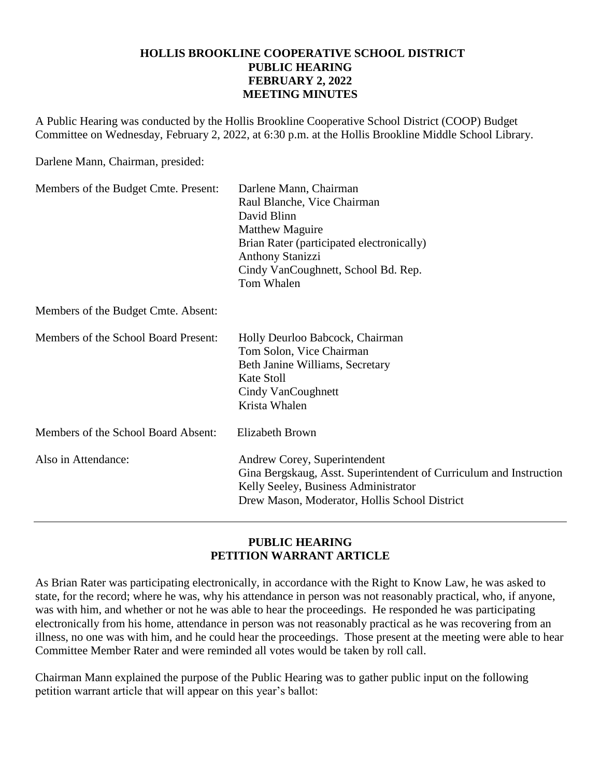## **HOLLIS BROOKLINE COOPERATIVE SCHOOL DISTRICT PUBLIC HEARING FEBRUARY 2, 2022 MEETING MINUTES**

A Public Hearing was conducted by the Hollis Brookline Cooperative School District (COOP) Budget Committee on Wednesday, February 2, 2022, at 6:30 p.m. at the Hollis Brookline Middle School Library.

Darlene Mann, Chairman, presided:

| Members of the Budget Cmte. Present: | Darlene Mann, Chairman<br>Raul Blanche, Vice Chairman<br>David Blinn<br><b>Matthew Maguire</b><br>Brian Rater (participated electronically)<br><b>Anthony Stanizzi</b><br>Cindy VanCoughnett, School Bd. Rep.<br>Tom Whalen |
|--------------------------------------|-----------------------------------------------------------------------------------------------------------------------------------------------------------------------------------------------------------------------------|
| Members of the Budget Cmte. Absent:  |                                                                                                                                                                                                                             |
| Members of the School Board Present: | Holly Deurloo Babcock, Chairman<br>Tom Solon, Vice Chairman<br>Beth Janine Williams, Secretary<br>Kate Stoll<br>Cindy VanCoughnett<br>Krista Whalen                                                                         |
| Members of the School Board Absent:  | <b>Elizabeth Brown</b>                                                                                                                                                                                                      |
| Also in Attendance:                  | Andrew Corey, Superintendent<br>Gina Bergskaug, Asst. Superintendent of Curriculum and Instruction<br>Kelly Seeley, Business Administrator<br>Drew Mason, Moderator, Hollis School District                                 |

## **PUBLIC HEARING PETITION WARRANT ARTICLE**

As Brian Rater was participating electronically, in accordance with the Right to Know Law, he was asked to state, for the record; where he was, why his attendance in person was not reasonably practical, who, if anyone, was with him, and whether or not he was able to hear the proceedings. He responded he was participating electronically from his home, attendance in person was not reasonably practical as he was recovering from an illness, no one was with him, and he could hear the proceedings. Those present at the meeting were able to hear Committee Member Rater and were reminded all votes would be taken by roll call.

Chairman Mann explained the purpose of the Public Hearing was to gather public input on the following petition warrant article that will appear on this year's ballot: